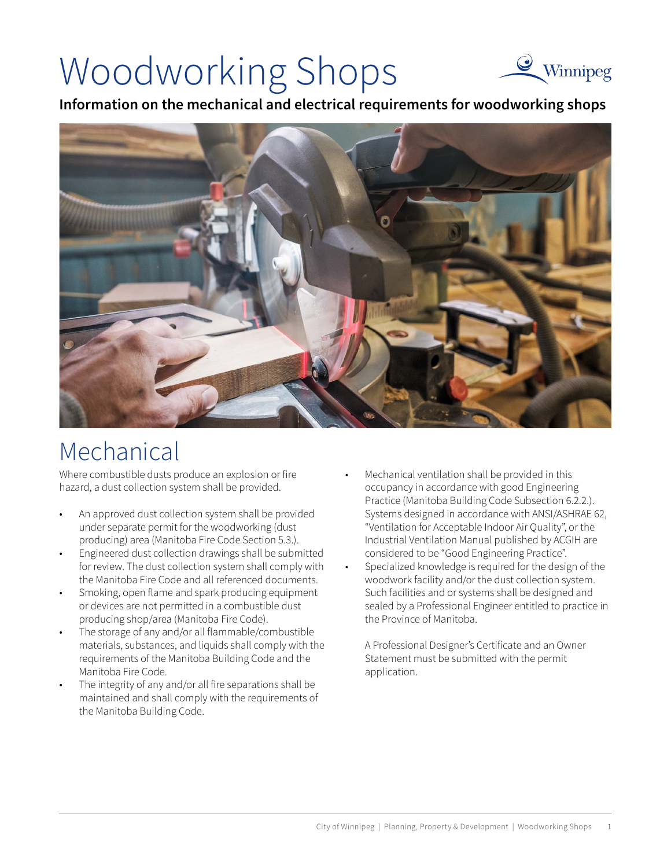# Woodworking Shops



**Information on the mechanical and electrical requirements for woodworking shops** 



## Mechanical

Where combustible dusts produce an explosion or fire hazard, a dust collection system shall be provided.

- An approved dust collection system shall be provided under separate permit for the woodworking (dust producing) area (Manitoba Fire Code Section 5.3.).
- Engineered dust collection drawings shall be submitted for review. The dust collection system shall comply with the Manitoba Fire Code and all referenced documents.
- Smoking, open flame and spark producing equipment or devices are not permitted in a combustible dust producing shop/area (Manitoba Fire Code).
- The storage of any and/or all flammable/combustible materials, substances, and liquids shall comply with the requirements of the Manitoba Building Code and the Manitoba Fire Code.
- The integrity of any and/or all fire separations shall be maintained and shall comply with the requirements of the Manitoba Building Code.
- Mechanical ventilation shall be provided in this occupancy in accordance with good Engineering Practice (Manitoba Building Code Subsection 6.2.2.). Systems designed in accordance with ANSI/ASHRAE 62, "Ventilation for Acceptable Indoor Air Quality", or the Industrial Ventilation Manual published by ACGIH are considered to be "Good Engineering Practice".
- Specialized knowledge is required for the design of the woodwork facility and/or the dust collection system. Such facilities and or systems shall be designed and sealed by a Professional Engineer entitled to practice in the Province of Manitoba.

A Professional Designer's Certificate and an Owner Statement must be submitted with the permit application.